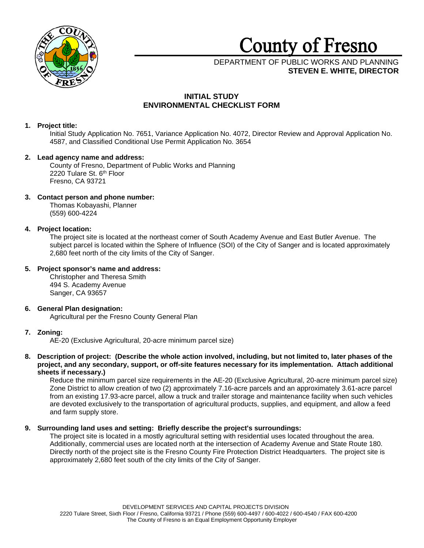

# **County of Fresno**

# DEPARTMENT OF PUBLIC WORKS AND PLANNING **STEVEN E. WHITE, DIRECTOR**

# **INITIAL STUDY ENVIRONMENTAL CHECKLIST FORM**

# **1. Project title:**

Initial Study Application No. 7651, Variance Application No. 4072, Director Review and Approval Application No. 4587, and Classified Conditional Use Permit Application No. 3654

# **2. Lead agency name and address:**

County of Fresno, Department of Public Works and Planning 2220 Tulare St. 6<sup>th</sup> Floor Fresno, CA 93721

# **3. Contact person and phone number:**

Thomas Kobayashi, Planner (559) 600-4224

# **4. Project location:**

The project site is located at the northeast corner of South Academy Avenue and East Butler Avenue. The subject parcel is located within the Sphere of Influence (SOI) of the City of Sanger and is located approximately 2,680 feet north of the city limits of the City of Sanger.

# **5. Project sponsor's name and address:**

Christopher and Theresa Smith 494 S. Academy Avenue Sanger, CA 93657

## **6. General Plan designation:** Agricultural per the Fresno County General Plan

# **7. Zoning:**

AE-20 (Exclusive Agricultural, 20-acre minimum parcel size)

**8. Description of project: (Describe the whole action involved, including, but not limited to, later phases of the project, and any secondary, support, or off-site features necessary for its implementation. Attach additional sheets if necessary.)**

Reduce the minimum parcel size requirements in the AE-20 (Exclusive Agricultural, 20-acre minimum parcel size) Zone District to allow creation of two (2) approximately 7.16-acre parcels and an approximately 3.61-acre parcel from an existing 17.93-acre parcel, allow a truck and trailer storage and maintenance facility when such vehicles are devoted exclusively to the transportation of agricultural products, supplies, and equipment, and allow a feed and farm supply store.

# **9. Surrounding land uses and setting: Briefly describe the project's surroundings:**

The project site is located in a mostly agricultural setting with residential uses located throughout the area. Additionally, commercial uses are located north at the intersection of Academy Avenue and State Route 180. Directly north of the project site is the Fresno County Fire Protection District Headquarters. The project site is approximately 2,680 feet south of the city limits of the City of Sanger.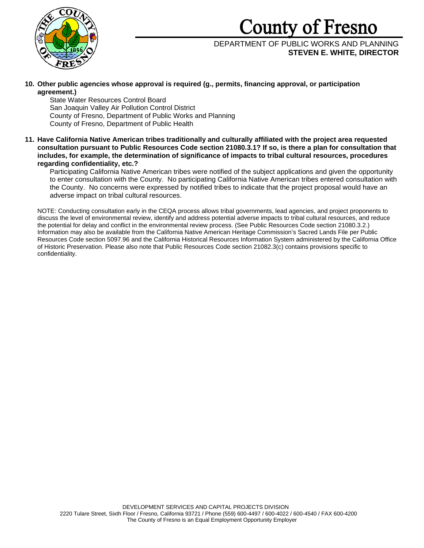# County of Fresno



# DEPARTMENT OF PUBLIC WORKS AND PLANNING **STEVEN E. WHITE, DIRECTOR**

**10. Other public agencies whose approval is required (g., permits, financing approval, or participation agreement.)**

State Water Resources Control Board San Joaquin Valley Air Pollution Control District County of Fresno, Department of Public Works and Planning County of Fresno, Department of Public Health

**11. Have California Native American tribes traditionally and culturally affiliated with the project area requested consultation pursuant to Public Resources Code section 21080.3.1? If so, is there a plan for consultation that includes, for example, the determination of significance of impacts to tribal cultural resources, procedures regarding confidentiality, etc.?**

Participating California Native American tribes were notified of the subject applications and given the opportunity to enter consultation with the County. No participating California Native American tribes entered consultation with the County. No concerns were expressed by notified tribes to indicate that the project proposal would have an adverse impact on tribal cultural resources.

NOTE: Conducting consultation early in the CEQA process allows tribal governments, lead agencies, and project proponents to discuss the level of environmental review, identify and address potential adverse impacts to tribal cultural resources, and reduce the potential for delay and conflict in the environmental review process. (See Public Resources Code section 21080.3.2.) Information may also be available from the California Native American Heritage Commission's Sacred Lands File per Public Resources Code section 5097.96 and the California Historical Resources Information System administered by the California Office of Historic Preservation. Please also note that Public Resources Code section 21082.3(c) contains provisions specific to confidentiality.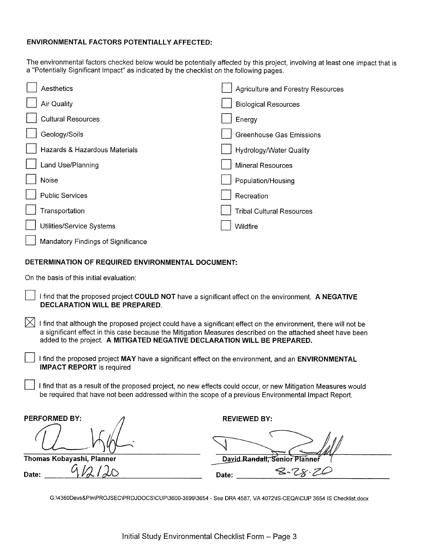# **ENVIRONMENTAL FACTORS POTENTIALLY AFFECTED:**

The environmental factors checked below would be potentially affected by this project, involving at least one impact that is a "Potentially Significant Impact" as indicated by the checklist on the following pages.

| Aesthetics                         | Agriculture and Forestry Resources |
|------------------------------------|------------------------------------|
| Air Quality                        | <b>Biological Resources</b>        |
| <b>Cultural Resources</b>          | Energy                             |
| Geology/Soils                      | <b>Greenhouse Gas Emissions</b>    |
| Hazards & Hazardous Materials      | <b>Hydrology/Water Quality</b>     |
| Land Use/Planning                  | <b>Mineral Resources</b>           |
| Noise                              | Population/Housing                 |
| <b>Public Services</b>             | Recreation                         |
| Transportation                     | <b>Tribal Cultural Resources</b>   |
| Utilities/Service Systems          | Wildfire                           |
| Mandatory Findings of Significance |                                    |

# DETERMINATION OF REQUIRED ENVIRONMENTAL DOCUMENT:

On the basis of this initial evaluation:

- I find that the proposed project COULD NOT have a significant effect on the environment. A NEGATIVE **DECLARATION WILL BE PREPARED.**
- $\boxtimes$  I find that although the proposed project could have a significant effect on the environment, there will not be a significant effect in this case because the Mitigation Measures described on the attached sheet have been added to the project. A MITIGATED NEGATIVE DECLARATION WILL BE PREPARED.
	- I find the proposed project MAY have a significant effect on the environment, and an ENVIRONMENTAL **IMPACT REPORT** is required
	- I find that as a result of the proposed project, no new effects could occur, or new Mitigation Measures would be required that have not been addressed within the scope of a previous Environmental Impact Report.

| <b>PERFORMED BY:</b>      | <b>REVIEWED BY:</b>           |
|---------------------------|-------------------------------|
|                           |                               |
| Thomas Kobayashi, Planner | David Randall, Senior Planner |
| ∽<br>Date:                | $8 - 28.76$<br>Date:          |

G:\4360Devs&PIn\PROJSEC\PROJDOCS\CUP\3600-3699\3654 - See DRA 4587, VA 4072\IS-CEQA\CUP 3654 IS Checklist.docx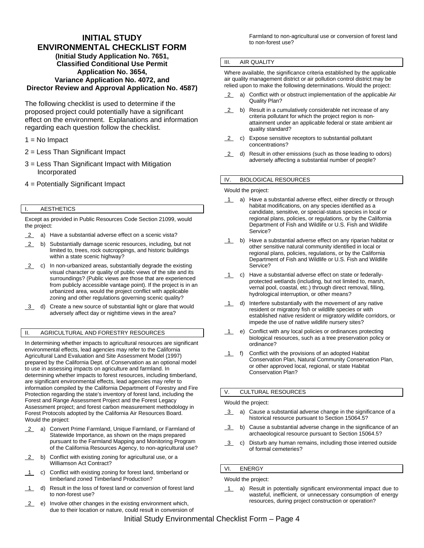## **INITIAL STUDY ENVIRONMENTAL CHECKLIST FORM (Initial Study Application No. 7651, Classified Conditional Use Permit Application No. 3654, Variance Application No. 4072, and Director Review and Approval Application No. 4587)**

The following checklist is used to determine if the proposed project could potentially have a significant effect on the environment. Explanations and information regarding each question follow the checklist.

## $1 = No$  Impact

- 2 = Less Than Significant Impact
- 3 = Less Than Significant Impact with Mitigation Incorporated
- 4 = Potentially Significant Impact

## I. AESTHETICS

Except as provided in Public Resources Code Section 21099, would the project:

- 2 a) Have a substantial adverse effect on a scenic vista?
- 2 b) Substantially damage scenic resources, including, but not limited to, trees, rock outcroppings, and historic buildings within a state scenic highway?
- 2 c) In non-urbanized areas, substantially degrade the existing visual character or quality of public views of the site and its surroundings? (Public views are those that are experienced from publicly accessible vantage point). If the project is in an urbanized area, would the project conflict with applicable zoning and other regulations governing scenic quality?
- 3 d) Create a new source of substantial light or glare that would adversely affect day or nighttime views in the area?

## II. AGRICULTURAL AND FORESTRY RESOURCES

In determining whether impacts to agricultural resources are significant environmental effects, lead agencies may refer to the California Agricultural Land Evaluation and Site Assessment Model (1997) prepared by the California Dept. of Conservation as an optional model to use in assessing impacts on agriculture and farmland. In determining whether impacts to forest resources, including timberland, are significant environmental effects, lead agencies may refer to information compiled by the California Department of Forestry and Fire Protection regarding the state's inventory of forest land, including the Forest and Range Assessment Project and the Forest Legacy Assessment project; and forest carbon measurement methodology in Forest Protocols adopted by the California Air Resources Board. Would the project:

- 2 a) Convert Prime Farmland, Unique Farmland, or Farmland of Statewide Importance, as shown on the maps prepared pursuant to the Farmland Mapping and Monitoring Program of the California Resources Agency, to non-agricultural use?
- 2 b) Conflict with existing zoning for agricultural use, or a Williamson Act Contract?
- 1 c) Conflict with existing zoning for forest land, timberland or timberland zoned Timberland Production?
- 1 d) Result in the loss of forest land or conversion of forest land to non-forest use?
- 2 e) Involve other changes in the existing environment which, due to their location or nature, could result in conversion of

Farmland to non-agricultural use or conversion of forest land to non-forest use?

### III. AIR QUALITY

Where available, the significance criteria established by the applicable air quality management district or air pollution control district may be relied upon to make the following determinations. Would the project:

- 2 a) Conflict with or obstruct implementation of the applicable Air Quality Plan?
- 2 b) Result in a cumulatively considerable net increase of any criteria pollutant for which the project region is nonattainment under an applicable federal or state ambient air quality standard?
- 2 c) Expose sensitive receptors to substantial pollutant concentrations?
- 2 d) Result in other emissions (such as those leading to odors) adversely affecting a substantial number of people?

## IV. BIOLOGICAL RESOURCES

#### Would the project:

- 1 a) Have a substantial adverse effect, either directly or through habitat modifications, on any species identified as a candidate, sensitive, or special-status species in local or regional plans, policies, or regulations, or by the California Department of Fish and Wildlife or U.S. Fish and Wildlife Service?
- 1 b) Have a substantial adverse effect on any riparian habitat or other sensitive natural community identified in local or regional plans, policies, regulations, or by the California Department of Fish and Wildlife or U.S. Fish and Wildlife Service?
- 1 c) Have a substantial adverse effect on state or federallyprotected wetlands (including, but not limited to, marsh, vernal pool, coastal, etc.) through direct removal, filling, hydrological interruption, or other means?
- 1 d) Interfere substantially with the movement of any native resident or migratory fish or wildlife species or with established native resident or migratory wildlife corridors, or impede the use of native wildlife nursery sites?
- 1 e) Conflict with any local policies or ordinances protecting biological resources, such as a tree preservation policy or ordinance?
- 1 f) Conflict with the provisions of an adopted Habitat Conservation Plan, Natural Community Conservation Plan, or other approved local, regional, or state Habitat Conservation Plan?

## V. CULTURAL RESOURCES

#### Would the project:

- 3 a) Cause a substantial adverse change in the significance of a historical resource pursuant to Section 15064.5?
- 3 b) Cause a substantial adverse change in the significance of an archaeological resource pursuant to Section 15064.5?
- 3 c) Disturb any human remains, including those interred outside of formal cemeteries?

## VI. ENERGY

Would the project:

1 a) Result in potentially significant environmental impact due to wasteful, inefficient, or unnecessary consumption of energy resources, during project construction or operation?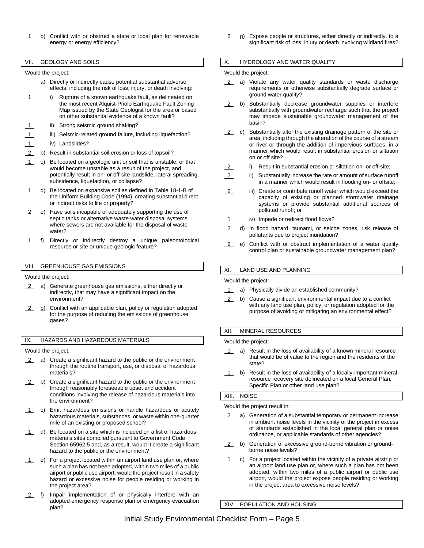b) Conflict with or obstruct a state or local plan for renewable energy or energy efficiency?

#### VII. GEOLOGY AND SOILS

## Would the project:

- a) Directly or indirectly cause potential substantial adverse effects, including the risk of loss, injury, or death involving:
- 1 i) Rupture of a known earthquake fault, as delineated on the most recent Alquist-Priolo Earthquake Fault Zoning Map issued by the State Geologist for the area or based on other substantial evidence of a known fault?
- ii) Strong seismic ground shaking?
- 1 iii) Seismic-related ground failure, including liquefaction?
- iv) Landslides?
- 2 b) Result in substantial soil erosion or loss of topsoil?
- 1 c) Be located on a geologic unit or soil that is unstable, or that would become unstable as a result of the project, and potentially result in on- or off-site landslide, lateral spreading, subsidence, liquefaction, or collapse?
- 1 d) Be located on expansive soil as defined in Table 18-1-B of the Uniform Building Code (1994), creating substantial direct or indirect risks to life or property?
- 2 e) Have soils incapable of adequately supporting the use of septic tanks or alternative waste water disposal systems where sewers are not available for the disposal of waste water?
- 1 f) Directly or indirectly destroy a unique paleontological resource or site or unique geologic feature?

#### VIII. GREENHOUSE GAS EMISSIONS

Would the project:

- 2 a) Generate greenhouse gas emissions, either directly or indirectly, that may have a significant impact on the environment?
- **2** b) Conflict with an applicable plan, policy or regulation adopted for the purpose of reducing the emissions of greenhouse gases?

### IX. HAZARDS AND HAZARDOUS MATERIALS

Would the project:

- 2 a) Create a significant hazard to the public or the environment through the routine transport, use, or disposal of hazardous materials?
- 2 b) Create a significant hazard to the public or the environment through reasonably foreseeable upset and accident conditions involving the release of hazardous materials into the environment?
- 1 c) Emit hazardous emissions or handle hazardous or acutely hazardous materials, substances, or waste within one-quarter mile of an existing or proposed school?
- $1$  d) Be located on a site which is included on a list of hazardous materials sites compiled pursuant to Government Code Section 65962.5 and, as a result, would it create a significant hazard to the public or the environment?
- $\overline{1}$  e) For a project located within an airport land use plan or, where such a plan has not been adopted, within two miles of a public airport or public use airport, would the project result in a safety hazard or excessive noise for people residing or working in the project area?
- 2 f) Impair implementation of or physically interfere with an adopted emergency response plan or emergency evacuation plan?

 2 g) Expose people or structures, either directly or indirectly, to a significant risk of loss, injury or death involving wildland fires?

#### X. HYDROLOGY AND WATER QUALITY

#### Would the project:

- 2 a) Violate any water quality standards or waste discharge requirements or otherwise substantially degrade surface or ground water quality?
- 2 b) Substantially decrease groundwater supplies or interfere substantially with groundwater recharge such that the project may impede sustainable groundwater management of the basin?
- $2$  c) Substantially alter the existing drainage pattern of the site or area, including through the alteration of the course of a stream or river or through the addition of impervious surfaces, in a manner which would result in substantial erosion or siltation on or off site?
	- i) Result in substantial erosion or siltation on- or off-site;
- 2 ii) Substantially increase the rate or amount of surface runoff in a manner which would result in flooding on- or offsite;
- 2 iii) Create or contribute runoff water which would exceed the capacity of existing or planned stormwater drainage systems or provide substantial additional sources of polluted runoff; or
- 1 iv) Impede or redirect flood flows?
- 2 d) In flood hazard, tsunami, or seiche zones, risk release of pollutants due to project inundation?
- 2 e) Conflict with or obstruct implementation of a water quality control plan or sustainable groundwater management plan?

#### XI. LAND USE AND PLANNING

Would the project:

- 1 a) Physically divide an established community?
- 2 b) Cause a significant environmental impact due to a conflict with any land use plan, policy, or regulation adopted for the purpose of avoiding or mitigating an environmental effect?

#### XII. MINERAL RESOURCES

Would the project:

- 1 a) Result in the loss of availability of a known mineral resource that would be of value to the region and the residents of the state?
- 1 b) Result in the loss of availability of a locally-important mineral resource recovery site delineated on a local General Plan, Specific Plan or other land use plan?

#### XIII. NOISE

Would the project result in:

- 2 a) Generation of a substantial temporary or permanent increase in ambient noise levels in the vicinity of the project in excess of standards established in the local general plan or noise ordinance, or applicable standards of other agencies?
- 2 b) Generation of excessive ground-borne vibration or groundborne noise levels?
- 1 c) For a project located within the vicinity of a private airstrip or an airport land use plan or, where such a plan has not been adopted, within two miles of a public airport or public use airport, would the project expose people residing or working in the project area to excessive noise levels?

XIV. POPULATION AND HOUSING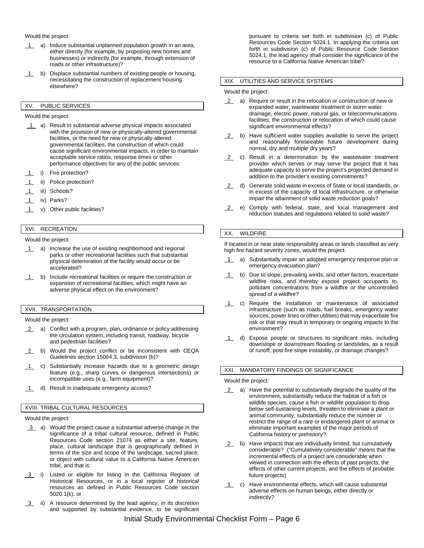#### Would the project:

- 1 a) Induce substantial unplanned population growth in an area, either directly (for example, by proposing new homes and businesses) or indirectly (for example, through extension of roads or other infrastructure)?
- 1 b) Displace substantial numbers of existing people or housing, necessitating the construction of replacement housing elsewhere?

## XV. PUBLIC SERVICES

#### Would the project:

- 1 a) Result in substantial adverse physical impacts associated with the provision of new or physically-altered governmental facilities, or the need for new or physically-altered governmental facilities, the construction of which could cause significant environmental impacts, in order to maintain acceptable service ratios, response times or other performance objectives for any of the public services:
- i) Fire protection?
- ii) Police protection?
- 1 iii) Schools?
- 1 iv) Parks?
- 1 v) Other public facilities?

# XVI. RECREATION

#### Would the project:

- 1 a) Increase the use of existing neighborhood and regional parks or other recreational facilities such that substantial physical deterioration of the facility would occur or be accelerated?
- $\overline{1}$  b) Include recreational facilities or require the construction or expansion of recreational facilities, which might have an adverse physical effect on the environment?

#### XVII. TRANSPORTATION

Would the project:

- 2 a) Conflict with a program, plan, ordinance or policy addressing the circulation system, including transit, roadway, bicycle and pedestrian facilities?
- 2 b) Would the project conflict or be inconsistent with CEQA Guidelines section 15064.3, subdivision (b)?
- 1 c) Substantially increase hazards due to a geometric design feature (e.g., sharp curves or dangerous intersections) or incompatible uses (e.g., farm equipment)?
- 1 d) Result in inadequate emergency access?

### XVIII. TRIBAL CULTURAL RESOURCES

#### Would the project:

- 3 a) Would the project cause a substantial adverse change in the significance of a tribal cultural resource, defined in Public Resources Code section 21074 as either a site, feature, place, cultural landscape that is geographically defined in terms of the size and scope of the landscape, sacred place, or object with cultural value to a California Native American tribe, and that is:
- 3 i) Listed or eligible for listing in the California Register of Historical Resources, or in a local register of historical resources as defined in Public Resources Code section 5020.1(k), or
- 3 ii) A resource determined by the lead agency, in its discretion and supported by substantial evidence, to be significant

pursuant to criteria set forth in subdivision (c) of Public Resources Code Section 5024.1. In applying the criteria set forth in subdivision (c) of Public Resource Code Section 5024.1, the lead agency shall consider the significance of the resource to a California Native American tribe?

## XIX. UTILITIES AND SERVICE SYSTEMS

#### Would the project:

- 2 a) Require or result in the relocation or construction of new or expanded water, wastewater treatment or storm water drainage, electric power, natural gas, or telecommunications facilities, the construction or relocation of which could cause significant environmental effects?
- 2 b) Have sufficient water supplies available to serve the project and reasonably foreseeable future development during normal, dry and multiple dry years?
- 2 c) Result in a determination by the wastewater treatment provider which serves or may serve the project that it has adequate capacity to serve the project's projected demand in addition to the provider's existing commitments?
- 2 d) Generate solid waste in excess of State or local standards, or in excess of the capacity of local infrastructure, or otherwise impair the attainment of solid waste reduction goals?
- 2 e) Comply with federal, state, and local management and reduction statutes and regulations related to solid waste?

#### XX. WILDFIRE

If located in or near state responsibility areas or lands classified as very high fire hazard severity zones, would the project:

- 1 a) Substantially impair an adopted emergency response plan or emergency evacuation plan?
- 1 b) Due to slope, prevailing winds, and other factors, exacerbate wildfire risks, and thereby expose project occupants to, pollutant concentrations from a wildfire or the uncontrolled spread of a wildfire?
- 1 c) Require the installation or maintenance of associated infrastructure (such as roads, fuel breaks, emergency water sources, power lines or other utilities) that may exacerbate fire risk or that may result in temporary or ongoing impacts to the environment?
- 1 d) Expose people or structures to significant risks, including downslope or downstream flooding or landslides, as a result of runoff, post-fire slope instability, or drainage changes?

## XXI. MANDATORY FINDINGS OF SIGNIFICANCE

#### Would the project:

- 2 a) Have the potential to substantially degrade the quality of the environment, substantially reduce the habitat of a fish or wildlife species, cause a fish or wildlife population to drop below self-sustaining levels, threaten to eliminate a plant or animal community, substantially reduce the number or restrict the range of a rare or endangered plant or animal or eliminate important examples of the major periods of California history or prehistory?
- 2 b) Have impacts that are individually limited, but cumulatively considerable? ("Cumulatively considerable" means that the incremental effects of a project are considerable when viewed in connection with the effects of past projects, the effects of other current projects, and the effects of probable future projects)
- 1 c) Have environmental effects, which will cause substantial adverse effects on human beings, either directly or indirectly?